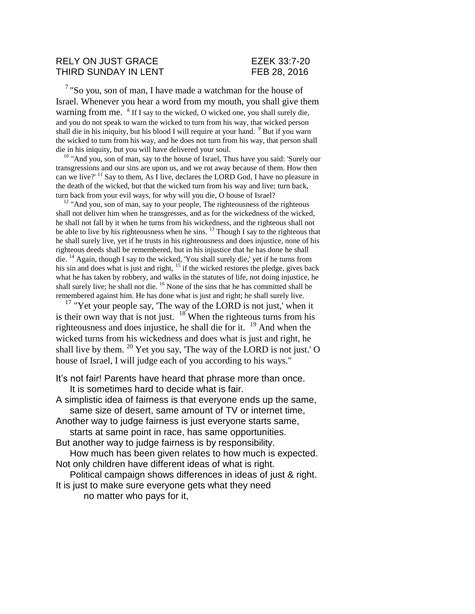## RELY ON JUST GRACE EZEK 33:7-20 THIRD SUNDAY IN LENT FEB 28, 2016

<sup>7</sup> "So you, son of man, I have made a watchman for the house of Israel. Whenever you hear a word from my mouth, you shall give them warning from me. <sup>8</sup> If I say to the wicked, O wicked one, you shall surely die, and you do not speak to warn the wicked to turn from his way, that wicked person shall die in his iniquity, but his blood I will require at your hand.  $9$  But if you warn the wicked to turn from his way, and he does not turn from his way, that person shall die in his iniquity, but you will have delivered your soul.

<sup>10</sup> "And you, son of man, say to the house of Israel, Thus have you said: 'Surely our transgressions and our sins are upon us, and we rot away because of them. How then can we live?' <sup>11</sup> Say to them, As I live, declares the LORD God, I have no pleasure in the death of the wicked, but that the wicked turn from his way and live; turn back, turn back from your evil ways, for why will you die, O house of Israel?

 $12$  "And you, son of man, say to your people, The righteousness of the righteous shall not deliver him when he transgresses, and as for the wickedness of the wicked, he shall not fall by it when he turns from his wickedness, and the righteous shall not be able to live by his righteousness when he sins.  $^{13}$  Though I say to the righteous that he shall surely live, yet if he trusts in his righteousness and does injustice, none of his righteous deeds shall be remembered, but in his injustice that he has done he shall die. <sup>14</sup> Again, though I say to the wicked, 'You shall surely die,' yet if he turns from his sin and does what is just and right, <sup>15</sup> if the wicked restores the pledge, gives back what he has taken by robbery, and walks in the statutes of life, not doing injustice, he shall surely live; he shall not die. <sup>16</sup> None of the sins that he has committed shall be remembered against him. He has done what is just and right; he shall surely live.

 $17$  "Yet your people say, 'The way of the LORD is not just,' when it is their own way that is not just.  $18$  When the righteous turns from his righteousness and does injustice, he shall die for it. <sup>19</sup> And when the wicked turns from his wickedness and does what is just and right, he shall live by them.  $^{20}$  Yet you say, 'The way of the LORD is not just.' O house of Israel, I will judge each of you according to his ways."

It's not fair! Parents have heard that phrase more than once. It is sometimes hard to decide what is fair.

A simplistic idea of fairness is that everyone ends up the same, same size of desert, same amount of TV or internet time, Another way to judge fairness is just everyone starts same, starts at same point in race, has same opportunities. But another way to judge fairness is by responsibility.

How much has been given relates to how much is expected. Not only children have different ideas of what is right.

Political campaign shows differences in ideas of just & right. It is just to make sure everyone gets what they need

no matter who pays for it,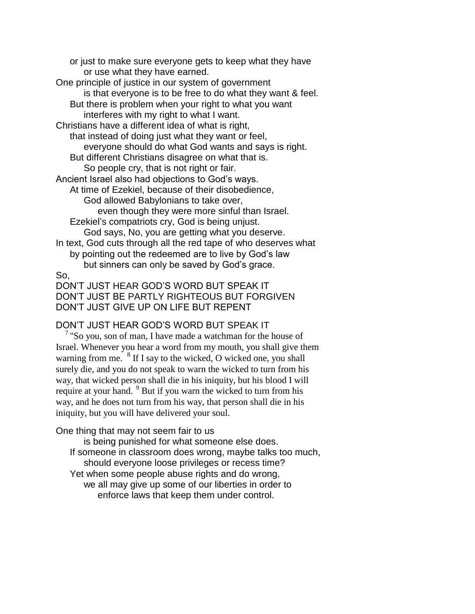or just to make sure everyone gets to keep what they have or use what they have earned. One principle of justice in our system of government is that everyone is to be free to do what they want & feel. But there is problem when your right to what you want interferes with my right to what I want. Christians have a different idea of what is right, that instead of doing just what they want or feel, everyone should do what God wants and says is right. But different Christians disagree on what that is. So people cry, that is not right or fair. Ancient Israel also had objections to God's ways. At time of Ezekiel, because of their disobedience, God allowed Babylonians to take over, even though they were more sinful than Israel. Ezekiel's compatriots cry, God is being unjust. God says, No, you are getting what you deserve. In text, God cuts through all the red tape of who deserves what by pointing out the redeemed are to live by God's law but sinners can only be saved by God's grace. So, DON'T JUST HEAR GOD'S WORD BUT SPEAK IT DON'T JUST BE PARTLY RIGHTEOUS BUT FORGIVEN DON'T JUST GIVE UP ON LIFE BUT REPENT

## DON'T JUST HEAR GOD'S WORD BUT SPEAK IT

 $\frac{7}{1}$  "So you, son of man, I have made a watchman for the house of Israel. Whenever you hear a word from my mouth, you shall give them warning from me. <sup>8</sup> If I say to the wicked, O wicked one, you shall surely die, and you do not speak to warn the wicked to turn from his way, that wicked person shall die in his iniquity, but his blood I will require at your hand.<sup>9</sup> But if you warn the wicked to turn from his way, and he does not turn from his way, that person shall die in his iniquity, but you will have delivered your soul.

One thing that may not seem fair to us

is being punished for what someone else does. If someone in classroom does wrong, maybe talks too much, should everyone loose privileges or recess time? Yet when some people abuse rights and do wrong, we all may give up some of our liberties in order to enforce laws that keep them under control.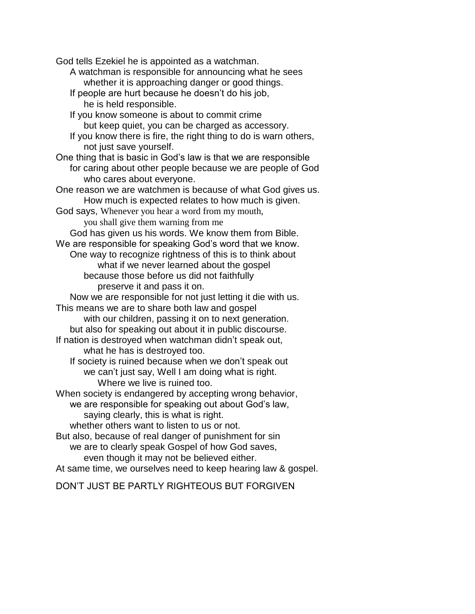God tells Ezekiel he is appointed as a watchman.

- A watchman is responsible for announcing what he sees whether it is approaching danger or good things.
- If people are hurt because he doesn't do his job, he is held responsible.

If you know someone is about to commit crime but keep quiet, you can be charged as accessory.

- If you know there is fire, the right thing to do is warn others, not just save yourself.
- One thing that is basic in God's law is that we are responsible for caring about other people because we are people of God who cares about everyone.
- One reason we are watchmen is because of what God gives us. How much is expected relates to how much is given.
- God says, Whenever you hear a word from my mouth,

you shall give them warning from me

God has given us his words. We know them from Bible.

We are responsible for speaking God's word that we know. One way to recognize rightness of this is to think about

what if we never learned about the gospel because those before us did not faithfully preserve it and pass it on.

Now we are responsible for not just letting it die with us. This means we are to share both law and gospel

with our children, passing it on to next generation. but also for speaking out about it in public discourse.

If nation is destroyed when watchman didn't speak out, what he has is destroyed too.

If society is ruined because when we don't speak out we can't just say, Well I am doing what is right. Where we live is ruined too.

When society is endangered by accepting wrong behavior,

we are responsible for speaking out about God's law, saying clearly, this is what is right.

whether others want to listen to us or not.

But also, because of real danger of punishment for sin we are to clearly speak Gospel of how God saves, even though it may not be believed either.

At same time, we ourselves need to keep hearing law & gospel.

DON'T JUST BE PARTLY RIGHTEOUS BUT FORGIVEN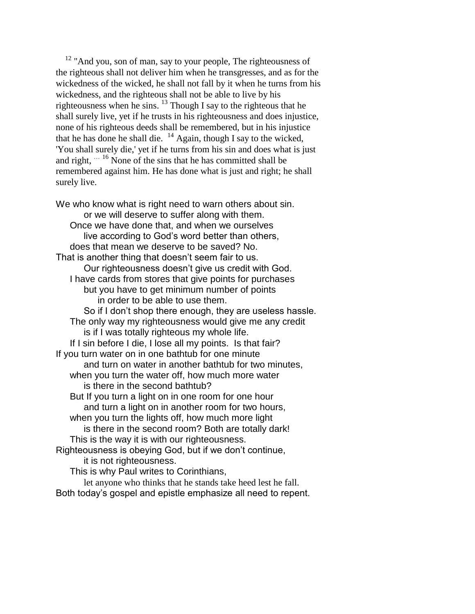$12$  "And you, son of man, say to your people, The righteousness of the righteous shall not deliver him when he transgresses, and as for the wickedness of the wicked, he shall not fall by it when he turns from his wickedness, and the righteous shall not be able to live by his righteousness when he sins. <sup>13</sup> Though I say to the righteous that he shall surely live, yet if he trusts in his righteousness and does injustice, none of his righteous deeds shall be remembered, but in his injustice that he has done he shall die.  $^{14}$  Again, though I say to the wicked, 'You shall surely die,' yet if he turns from his sin and does what is just and right, … <sup>16</sup> None of the sins that he has committed shall be remembered against him. He has done what is just and right; he shall surely live.

We who know what is right need to warn others about sin. or we will deserve to suffer along with them. Once we have done that, and when we ourselves live according to God's word better than others, does that mean we deserve to be saved? No. That is another thing that doesn't seem fair to us. Our righteousness doesn't give us credit with God. I have cards from stores that give points for purchases but you have to get minimum number of points in order to be able to use them. So if I don't shop there enough, they are useless hassle. The only way my righteousness would give me any credit is if I was totally righteous my whole life. If I sin before I die, I lose all my points. Is that fair? If you turn water on in one bathtub for one minute and turn on water in another bathtub for two minutes, when you turn the water off, how much more water is there in the second bathtub? But If you turn a light on in one room for one hour and turn a light on in another room for two hours, when you turn the lights off, how much more light is there in the second room? Both are totally dark! This is the way it is with our righteousness. Righteousness is obeying God, but if we don't continue, it is not righteousness. This is why Paul writes to Corinthians,

let anyone who thinks that he stands take heed lest he fall. Both today's gospel and epistle emphasize all need to repent.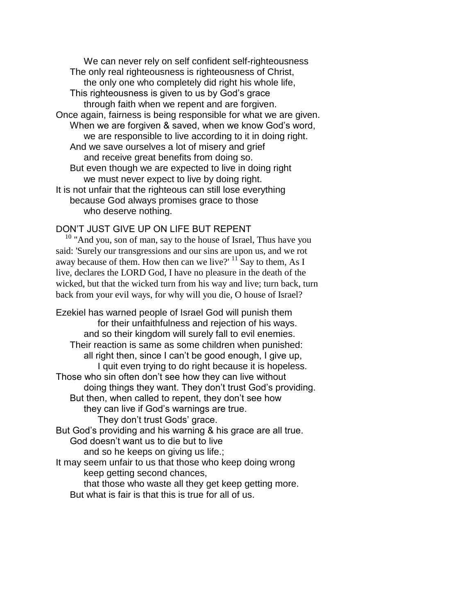We can never rely on self confident self-righteousness The only real righteousness is righteousness of Christ, the only one who completely did right his whole life, This righteousness is given to us by God's grace through faith when we repent and are forgiven. Once again, fairness is being responsible for what we are given. When we are forgiven & saved, when we know God's word, we are responsible to live according to it in doing right. And we save ourselves a lot of misery and grief and receive great benefits from doing so. But even though we are expected to live in doing right we must never expect to live by doing right. It is not unfair that the righteous can still lose everything because God always promises grace to those who deserve nothing.

## DON'T JUST GIVE UP ON LIFE BUT REPENT

<sup>10</sup> "And you, son of man, say to the house of Israel, Thus have you said: 'Surely our transgressions and our sins are upon us, and we rot away because of them. How then can we live?' <sup>11</sup> Say to them, As I live, declares the LORD God, I have no pleasure in the death of the wicked, but that the wicked turn from his way and live; turn back, turn back from your evil ways, for why will you die, O house of Israel?

Ezekiel has warned people of Israel God will punish them for their unfaithfulness and rejection of his ways. and so their kingdom will surely fall to evil enemies. Their reaction is same as some children when punished: all right then, since I can't be good enough, I give up. I quit even trying to do right because it is hopeless. Those who sin often don't see how they can live without doing things they want. They don't trust God's providing. But then, when called to repent, they don't see how they can live if God's warnings are true. They don't trust Gods' grace. But God's providing and his warning & his grace are all true. God doesn't want us to die but to live and so he keeps on giving us life.; It may seem unfair to us that those who keep doing wrong keep getting second chances, that those who waste all they get keep getting more.

But what is fair is that this is true for all of us.